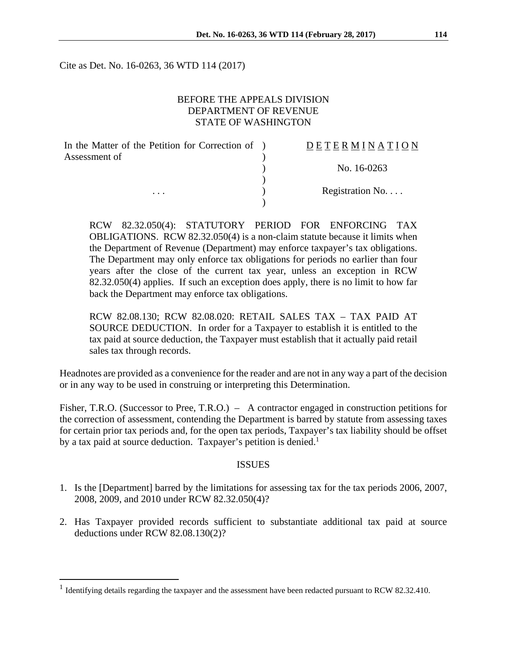Cite as Det. No. 16-0263, 36 WTD 114 (2017)

## BEFORE THE APPEALS DIVISION DEPARTMENT OF REVENUE STATE OF WASHINGTON

| In the Matter of the Petition for Correction of ) | DETERMINATION   |
|---------------------------------------------------|-----------------|
| Assessment of                                     |                 |
|                                                   | No. 16-0263     |
|                                                   |                 |
| $\cdots$                                          | Registration No |
|                                                   |                 |

RCW 82.32.050(4): STATUTORY PERIOD FOR ENFORCING TAX OBLIGATIONS. RCW 82.32.050(4) is a non-claim statute because it limits when the Department of Revenue (Department) may enforce taxpayer's tax obligations. The Department may only enforce tax obligations for periods no earlier than four years after the close of the current tax year, unless an exception in RCW 82.32.050(4) applies. If such an exception does apply, there is no limit to how far back the Department may enforce tax obligations.

RCW 82.08.130; RCW 82.08.020: RETAIL SALES TAX – TAX PAID AT SOURCE DEDUCTION. In order for a Taxpayer to establish it is entitled to the tax paid at source deduction, the Taxpayer must establish that it actually paid retail sales tax through records.

Headnotes are provided as a convenience for the reader and are not in any way a part of the decision or in any way to be used in construing or interpreting this Determination.

Fisher, T.R.O. (Successor to Pree, T.R.O.) – A contractor engaged in construction petitions for the correction of assessment, contending the Department is barred by statute from assessing taxes for certain prior tax periods and, for the open tax periods, Taxpayer's tax liability should be offset by a tax paid at source deduction. Taxpayer's petition is denied.<sup>1</sup>

#### ISSUES

- 1. Is the [Department] barred by the limitations for assessing tax for the tax periods 2006, 2007, 2008, 2009, and 2010 under RCW 82.32.050(4)?
- 2. Has Taxpayer provided records sufficient to substantiate additional tax paid at source deductions under RCW 82.08.130(2)?

 $\overline{a}$ 

<sup>&</sup>lt;sup>1</sup> Identifying details regarding the taxpayer and the assessment have been redacted pursuant to RCW 82.32.410.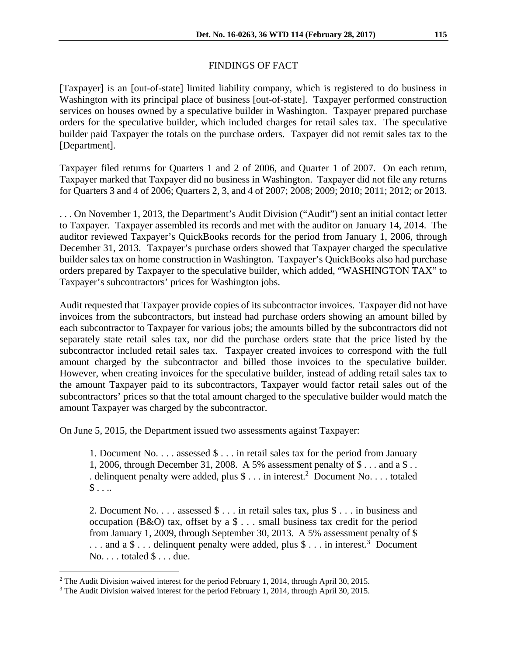# FINDINGS OF FACT

[Taxpayer] is an [out-of-state] limited liability company, which is registered to do business in Washington with its principal place of business [out-of-state]. Taxpayer performed construction services on houses owned by a speculative builder in Washington. Taxpayer prepared purchase orders for the speculative builder, which included charges for retail sales tax. The speculative builder paid Taxpayer the totals on the purchase orders. Taxpayer did not remit sales tax to the [Department].

Taxpayer filed returns for Quarters 1 and 2 of 2006, and Quarter 1 of 2007. On each return, Taxpayer marked that Taxpayer did no business in Washington. Taxpayer did not file any returns for Quarters 3 and 4 of 2006; Quarters 2, 3, and 4 of 2007; 2008; 2009; 2010; 2011; 2012; or 2013.

. . . On November 1, 2013, the Department's Audit Division ("Audit") sent an initial contact letter to Taxpayer. Taxpayer assembled its records and met with the auditor on January 14, 2014. The auditor reviewed Taxpayer's QuickBooks records for the period from January 1, 2006, through December 31, 2013. Taxpayer's purchase orders showed that Taxpayer charged the speculative builder sales tax on home construction in Washington. Taxpayer's QuickBooks also had purchase orders prepared by Taxpayer to the speculative builder, which added, "WASHINGTON TAX" to Taxpayer's subcontractors' prices for Washington jobs.

Audit requested that Taxpayer provide copies of its subcontractor invoices. Taxpayer did not have invoices from the subcontractors, but instead had purchase orders showing an amount billed by each subcontractor to Taxpayer for various jobs; the amounts billed by the subcontractors did not separately state retail sales tax, nor did the purchase orders state that the price listed by the subcontractor included retail sales tax. Taxpayer created invoices to correspond with the full amount charged by the subcontractor and billed those invoices to the speculative builder. However, when creating invoices for the speculative builder, instead of adding retail sales tax to the amount Taxpayer paid to its subcontractors, Taxpayer would factor retail sales out of the subcontractors' prices so that the total amount charged to the speculative builder would match the amount Taxpayer was charged by the subcontractor.

On June 5, 2015, the Department issued two assessments against Taxpayer:

1. Document No. . . . assessed \$ . . . in retail sales tax for the period from January 1, 2006, through December 31, 2008. A 5% assessment penalty of \$ . . . and a \$ . . . delinquent penalty were added, plus  $\$\dots$  in interest.<sup>2</sup> Document No... totaled  $\mathsf{\$}$ ...

2. Document No. . . . assessed \$ . . . in retail sales tax, plus \$ . . . in business and occupation (B&O) tax, offset by a \$ . . . small business tax credit for the period from January 1, 2009, through September 30, 2013. A 5% assessment penalty of \$ ... and a  $\$ \dots$  delinquent penalty were added, plus  $\$ \dots$  in interest.<sup>3</sup> Document  $No. \ldots$  totaled  $\$ \ldots$  due.

 $\overline{a}$ 

<sup>&</sup>lt;sup>2</sup> The Audit Division waived interest for the period February 1, 2014, through April 30, 2015.

 $3$  The Audit Division waived interest for the period February 1, 2014, through April 30, 2015.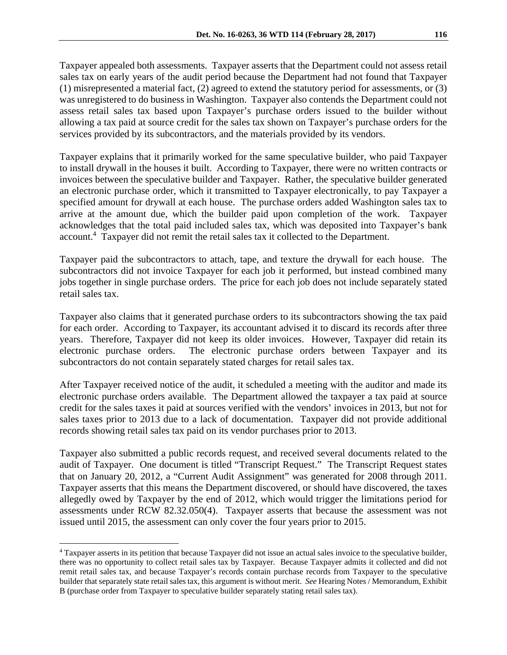Taxpayer appealed both assessments. Taxpayer asserts that the Department could not assess retail sales tax on early years of the audit period because the Department had not found that Taxpayer (1) misrepresented a material fact, (2) agreed to extend the statutory period for assessments, or (3) was unregistered to do business in Washington. Taxpayer also contends the Department could not assess retail sales tax based upon Taxpayer's purchase orders issued to the builder without allowing a tax paid at source credit for the sales tax shown on Taxpayer's purchase orders for the services provided by its subcontractors, and the materials provided by its vendors.

Taxpayer explains that it primarily worked for the same speculative builder, who paid Taxpayer to install drywall in the houses it built. According to Taxpayer, there were no written contracts or invoices between the speculative builder and Taxpayer. Rather, the speculative builder generated an electronic purchase order, which it transmitted to Taxpayer electronically, to pay Taxpayer a specified amount for drywall at each house. The purchase orders added Washington sales tax to arrive at the amount due, which the builder paid upon completion of the work. Taxpayer acknowledges that the total paid included sales tax, which was deposited into Taxpayer's bank account.<sup>4</sup> Taxpayer did not remit the retail sales tax it collected to the Department.

Taxpayer paid the subcontractors to attach, tape, and texture the drywall for each house. The subcontractors did not invoice Taxpayer for each job it performed, but instead combined many jobs together in single purchase orders. The price for each job does not include separately stated retail sales tax.

Taxpayer also claims that it generated purchase orders to its subcontractors showing the tax paid for each order. According to Taxpayer, its accountant advised it to discard its records after three years. Therefore, Taxpayer did not keep its older invoices. However, Taxpayer did retain its electronic purchase orders. The electronic purchase orders between Taxpayer and its subcontractors do not contain separately stated charges for retail sales tax.

After Taxpayer received notice of the audit, it scheduled a meeting with the auditor and made its electronic purchase orders available. The Department allowed the taxpayer a tax paid at source credit for the sales taxes it paid at sources verified with the vendors' invoices in 2013, but not for sales taxes prior to 2013 due to a lack of documentation. Taxpayer did not provide additional records showing retail sales tax paid on its vendor purchases prior to 2013.

Taxpayer also submitted a public records request, and received several documents related to the audit of Taxpayer. One document is titled "Transcript Request." The Transcript Request states that on January 20, 2012, a "Current Audit Assignment" was generated for 2008 through 2011. Taxpayer asserts that this means the Department discovered, or should have discovered, the taxes allegedly owed by Taxpayer by the end of 2012, which would trigger the limitations period for assessments under RCW 82.32.050(4). Taxpayer asserts that because the assessment was not issued until 2015, the assessment can only cover the four years prior to 2015.

 $\overline{a}$ 

<sup>4</sup> Taxpayer asserts in its petition that because Taxpayer did not issue an actual sales invoice to the speculative builder, there was no opportunity to collect retail sales tax by Taxpayer. Because Taxpayer admits it collected and did not remit retail sales tax, and because Taxpayer's records contain purchase records from Taxpayer to the speculative builder that separately state retail sales tax, this argument is without merit. *See* Hearing Notes / Memorandum, Exhibit B (purchase order from Taxpayer to speculative builder separately stating retail sales tax).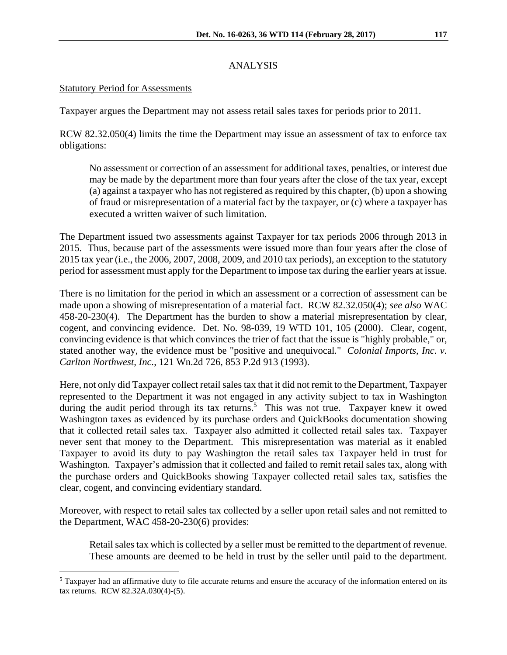# ANALYSIS

## Statutory Period for Assessments

 $\overline{a}$ 

Taxpayer argues the Department may not assess retail sales taxes for periods prior to 2011.

RCW 82.32.050(4) limits the time the Department may issue an assessment of tax to enforce tax obligations:

No assessment or correction of an assessment for additional taxes, penalties, or interest due may be made by the department more than four years after the close of the tax year, except (a) against a taxpayer who has not registered as required by this chapter, (b) upon a showing of fraud or misrepresentation of a material fact by the taxpayer, or (c) where a taxpayer has executed a written waiver of such limitation.

The Department issued two assessments against Taxpayer for tax periods 2006 through 2013 in 2015. Thus, because part of the assessments were issued more than four years after the close of 2015 tax year (i.e., the 2006, 2007, 2008, 2009, and 2010 tax periods), an exception to the statutory period for assessment must apply for the Department to impose tax during the earlier years at issue.

There is no limitation for the period in which an assessment or a correction of assessment can be made upon a showing of misrepresentation of a material fact. RCW 82.32.050(4); *see also* WAC 458-20-230(4). The Department has the burden to show a material misrepresentation by clear, cogent, and convincing evidence. Det. No. 98-039, 19 WTD 101, 105 (2000). Clear, cogent, convincing evidence is that which convinces the trier of fact that the issue is "highly probable," or, stated another way, the evidence must be "positive and unequivocal*.*" *Colonial Imports, Inc. v. Carlton Northwest, Inc.*, 121 Wn.2d 726, 853 P.2d 913 (1993).

Here, not only did Taxpayer collect retail sales tax that it did not remit to the Department, Taxpayer represented to the Department it was not engaged in any activity subject to tax in Washington during the audit period through its tax returns.<sup>5</sup> This was not true. Taxpayer knew it owed Washington taxes as evidenced by its purchase orders and QuickBooks documentation showing that it collected retail sales tax. Taxpayer also admitted it collected retail sales tax. Taxpayer never sent that money to the Department. This misrepresentation was material as it enabled Taxpayer to avoid its duty to pay Washington the retail sales tax Taxpayer held in trust for Washington. Taxpayer's admission that it collected and failed to remit retail sales tax, along with the purchase orders and QuickBooks showing Taxpayer collected retail sales tax, satisfies the clear, cogent, and convincing evidentiary standard.

Moreover, with respect to retail sales tax collected by a seller upon retail sales and not remitted to the Department, WAC 458-20-230(6) provides:

Retail sales tax which is collected by a seller must be remitted to the department of revenue. These amounts are deemed to be held in trust by the seller until paid to the department.

<sup>&</sup>lt;sup>5</sup> Taxpayer had an affirmative duty to file accurate returns and ensure the accuracy of the information entered on its tax returns. RCW 82.32A.030(4)-(5).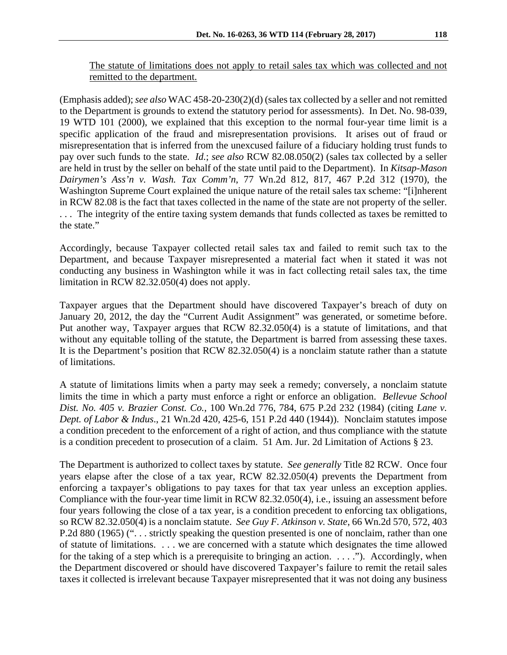(Emphasis added); *see also* WAC 458-20-230(2)(d) (sales tax collected by a seller and not remitted to the Department is grounds to extend the statutory period for assessments). In Det. No. 98-039, 19 WTD 101 (2000), we explained that this exception to the normal four-year time limit is a specific application of the fraud and misrepresentation provisions. It arises out of fraud or misrepresentation that is inferred from the unexcused failure of a fiduciary holding trust funds to pay over such funds to the state. *Id.*; *see also* RCW 82.08.050(2) (sales tax collected by a seller are held in trust by the seller on behalf of the state until paid to the Department). In *Kitsap-Mason Dairymen's Ass'n v. Wash. Tax Comm'n*, 77 Wn.2d 812, 817, 467 P.2d 312 (1970), the Washington Supreme Court explained the unique nature of the retail sales tax scheme: "[i]nherent in RCW 82.08 is the fact that taxes collected in the name of the state are not property of the seller. . . . The integrity of the entire taxing system demands that funds collected as taxes be remitted to the state."

Accordingly, because Taxpayer collected retail sales tax and failed to remit such tax to the Department, and because Taxpayer misrepresented a material fact when it stated it was not conducting any business in Washington while it was in fact collecting retail sales tax, the time limitation in RCW 82.32.050(4) does not apply.

Taxpayer argues that the Department should have discovered Taxpayer's breach of duty on January 20, 2012, the day the "Current Audit Assignment" was generated, or sometime before. Put another way, Taxpayer argues that RCW 82.32.050(4) is a statute of limitations, and that without any equitable tolling of the statute, the Department is barred from assessing these taxes. It is the Department's position that RCW 82.32.050(4) is a nonclaim statute rather than a statute of limitations.

A statute of limitations limits when a party may seek a remedy; conversely, a nonclaim statute limits the time in which a party must enforce a right or enforce an obligation. *Bellevue School Dist. No. 405 v. Brazier Const. Co.*, 100 Wn.2d 776, 784, 675 P.2d 232 (1984) (citing *Lane v. Dept. of Labor & Indus*., 21 Wn.2d 420, 425-6, 151 P.2d 440 (1944)). Nonclaim statutes impose a condition precedent to the enforcement of a right of action, and thus compliance with the statute is a condition precedent to prosecution of a claim. 51 Am. Jur. 2d Limitation of Actions § 23.

The Department is authorized to collect taxes by statute. *See generally* Title 82 RCW. Once four years elapse after the close of a tax year, RCW 82.32.050(4) prevents the Department from enforcing a taxpayer's obligations to pay taxes for that tax year unless an exception applies. Compliance with the four-year time limit in RCW 82.32.050(4), i.e., issuing an assessment before four years following the close of a tax year, is a condition precedent to enforcing tax obligations, so RCW 82.32.050(4) is a nonclaim statute. *See Guy F. Atkinson v. State*, 66 Wn.2d 570, 572, 403 P.2d 880 (1965) ("... strictly speaking the question presented is one of nonclaim, rather than one of statute of limitations. . . . we are concerned with a statute which designates the time allowed for the taking of a step which is a prerequisite to bringing an action.  $\dots$  ."). Accordingly, when the Department discovered or should have discovered Taxpayer's failure to remit the retail sales taxes it collected is irrelevant because Taxpayer misrepresented that it was not doing any business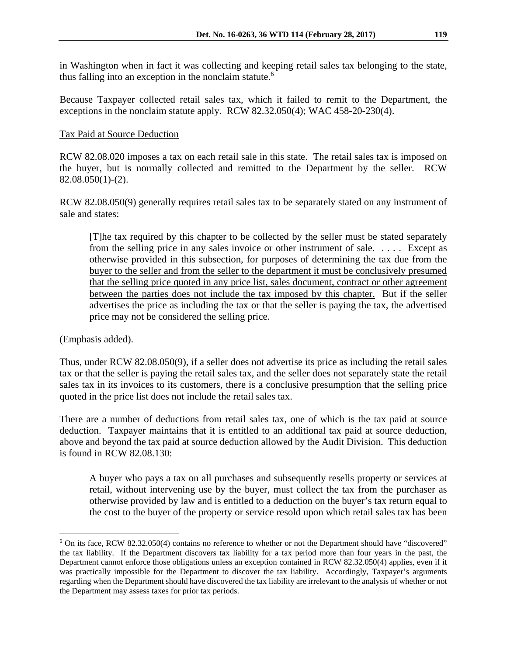in Washington when in fact it was collecting and keeping retail sales tax belonging to the state, thus falling into an exception in the nonclaim statute.<sup>6</sup>

Because Taxpayer collected retail sales tax, which it failed to remit to the Department, the exceptions in the nonclaim statute apply. RCW 82.32.050(4); WAC 458-20-230(4).

# Tax Paid at Source Deduction

RCW 82.08.020 imposes a tax on each retail sale in this state. The retail sales tax is imposed on the buyer, but is normally collected and remitted to the Department by the seller. RCW  $82.08.050(1)-(2)$ .

RCW 82.08.050(9) generally requires retail sales tax to be separately stated on any instrument of sale and states:

[T]he tax required by this chapter to be collected by the seller must be stated separately from the selling price in any sales invoice or other instrument of sale. . . . . Except as otherwise provided in this subsection, for purposes of determining the tax due from the buyer to the seller and from the seller to the department it must be conclusively presumed that the selling price quoted in any price list, sales document, contract or other agreement between the parties does not include the tax imposed by this chapter. But if the seller advertises the price as including the tax or that the seller is paying the tax, the advertised price may not be considered the selling price.

(Emphasis added).

1

Thus, under RCW 82.08.050(9), if a seller does not advertise its price as including the retail sales tax or that the seller is paying the retail sales tax, and the seller does not separately state the retail sales tax in its invoices to its customers, there is a conclusive presumption that the selling price quoted in the price list does not include the retail sales tax.

There are a number of deductions from retail sales tax, one of which is the tax paid at source deduction. Taxpayer maintains that it is entitled to an additional tax paid at source deduction, above and beyond the tax paid at source deduction allowed by the Audit Division. This deduction is found in RCW 82.08.130:

A buyer who pays a tax on all purchases and subsequently resells property or services at retail, without intervening use by the buyer, must collect the tax from the purchaser as otherwise provided by law and is entitled to a deduction on the buyer's tax return equal to the cost to the buyer of the property or service resold upon which retail sales tax has been

<sup>&</sup>lt;sup>6</sup> On its face, RCW 82.32.050(4) contains no reference to whether or not the Department should have "discovered" the tax liability. If the Department discovers tax liability for a tax period more than four years in the past, the Department cannot enforce those obligations unless an exception contained in RCW 82.32.050(4) applies, even if it was practically impossible for the Department to discover the tax liability. Accordingly, Taxpayer's arguments regarding when the Department should have discovered the tax liability are irrelevant to the analysis of whether or not the Department may assess taxes for prior tax periods.